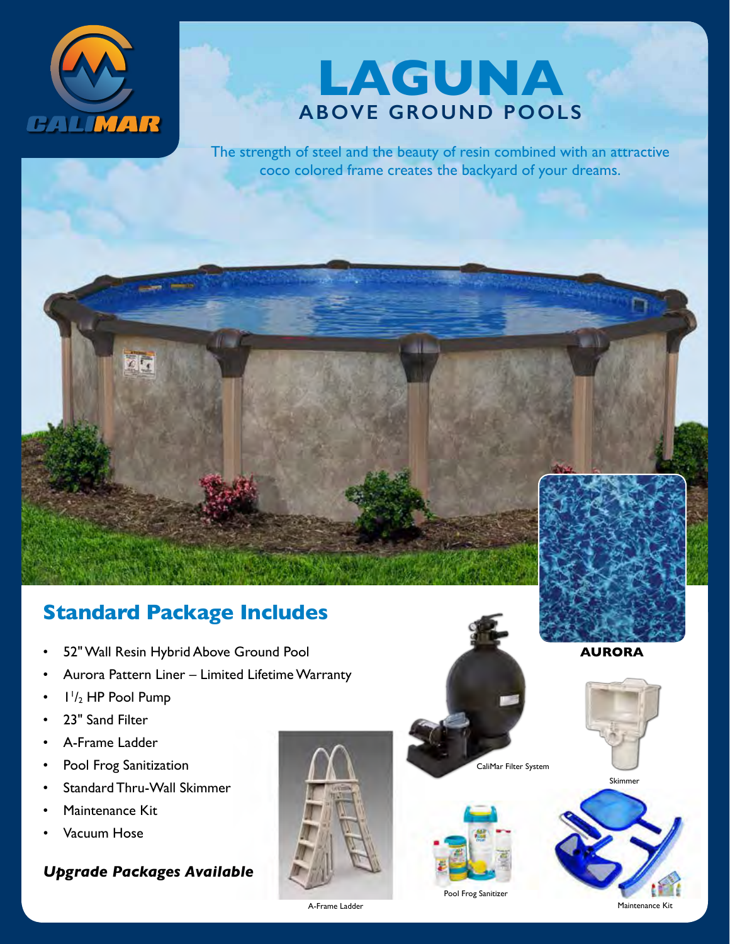



The strength of steel and the beauty of resin combined with an attractive coco colored frame creates the backyard of your dreams.

### **Standard Package Includes**

- 52" Wall Resin Hybrid Above Ground Pool
- Aurora Pattern Liner Limited Lifetime Warranty
- $\cdot$   $1\frac{1}{2}$  HP Pool Pump
- 23" Sand Filter
- A-Frame Ladder
- Pool Frog Sanitization
- Standard Thru-Wall Skimmer
- Maintenance Kit
- Vacuum Hose

### *Upgrade Packages Available*





CaliMar Filter System

Pool Frog Sanitizer



**AURORA**



A-Frame Ladder Maintenance Kitchen and American Control of Maintenance Kitchen and Maintenance Kitchen and Maintenance Kitchen and Maintenance Kitchen and Maintenance Kitchen and Maintenance Kitchen and Maintenance Kitchen